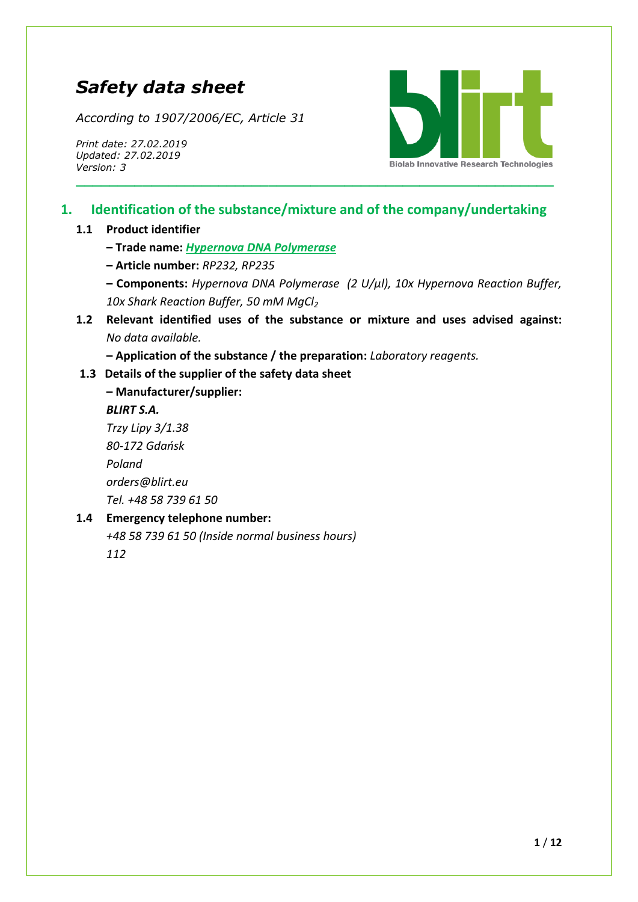# *Safety data sheet*

*According to 1907/2006/EC, Article 31*

*Print date: 27.02.2019 Updated: 27.02.2019 Version: 3*



## **1. Identification of the substance/mixture and of the company/undertaking**

**\_\_\_\_\_\_\_\_\_\_\_\_\_\_\_\_\_\_\_\_\_\_\_\_\_\_\_\_\_\_\_\_\_\_\_\_\_\_\_\_\_\_\_\_\_\_\_\_\_\_\_\_\_\_\_\_\_**

#### **1.1 Product identifier**

**– Trade name:** *Hypernova DNA Polymerase*

- **– Article number:** *RP232, RP235*
- **– Components:** *Hypernova DNA Polymerase (2 U/μl), 10x Hypernova Reaction Buffer, 10x Shark Reaction Buffer, 50 mM MgCl<sup>2</sup>*
- **1.2 Relevant identified uses of the substance or mixture and uses advised against:**  *No data available.*

**– Application of the substance / the preparation:** *Laboratory reagents.*

#### **1.3 Details of the supplier of the safety data sheet**

## **– Manufacturer/supplier:**

*BLIRT S.A. Trzy Lipy 3/1.38 80-172 Gdańsk Poland [orders@blirt.eu](mailto:orders@blirt.eu) Tel. +48 58 739 61 50*

### **1.4 Emergency telephone number:**

*+48 58 739 61 50 (Inside normal business hours) 112*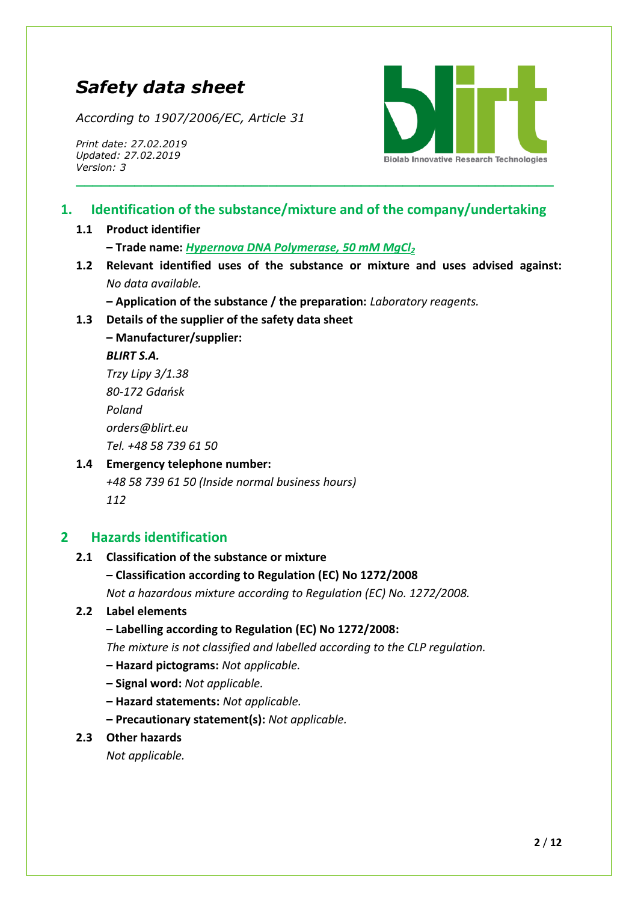## *Safety data sheet*

*According to 1907/2006/EC, Article 31*

*Print date: 27.02.2019 Updated: 27.02.2019 Version: 3*



## **1. Identification of the substance/mixture and of the company/undertaking**

**\_\_\_\_\_\_\_\_\_\_\_\_\_\_\_\_\_\_\_\_\_\_\_\_\_\_\_\_\_\_\_\_\_\_\_\_\_\_\_\_\_\_\_\_\_\_\_\_\_\_\_\_\_\_\_\_\_**

#### **1.1 Product identifier**

**– Trade name:** *Hypernova DNA Polymerase, 50 mM MgCl<sup>2</sup>*

**1.2 Relevant identified uses of the substance or mixture and uses advised against:**  *No data available.*

**– Application of the substance / the preparation:** *Laboratory reagents.*

**1.3 Details of the supplier of the safety data sheet**

**– Manufacturer/supplier:** *BLIRT S.A.*

*Trzy Lipy 3/1.38 80-172 Gdańsk Poland [orders@blirt.eu](mailto:orders@blirt.eu) Tel. +48 58 739 61 50*

## **1.4 Emergency telephone number:**

*+48 58 739 61 50 (Inside normal business hours) 112*

## **2 Hazards identification**

#### **2.1 Classification of the substance or mixture**

#### **– Classification according to Regulation (EC) No 1272/2008**

*Not a hazardous mixture according to Regulation (EC) No. 1272/2008.*

#### **2.2 Label elements**

**– Labelling according to Regulation (EC) No 1272/2008:** 

*The mixture is not classified and labelled according to the CLP regulation.*

- **– Hazard pictograms:** *Not applicable.*
- **– Signal word:** *Not applicable.*
- **– Hazard statements:** *Not applicable.*

**– Precautionary statement(s):** *Not applicable.*

#### **2.3 Other hazards**

*Not applicable.*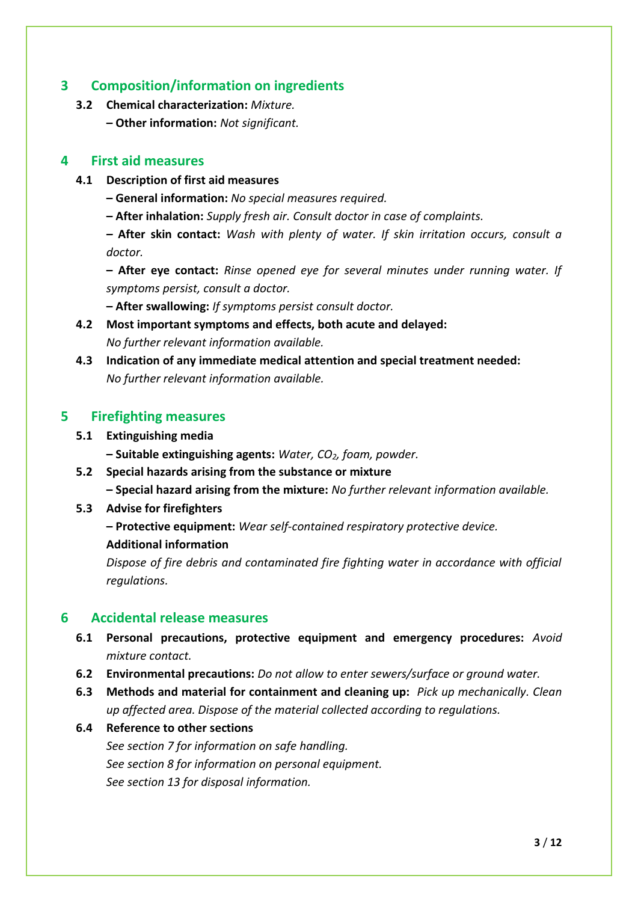## **3 Composition/information on ingredients**

- **3.2 Chemical characterization:** *Mixture.*
	- **– Other information:** *Not significant.*

### **4 First aid measures**

- **4.1 Description of first aid measures**
	- **– General information:** *No special measures required.*
	- **– After inhalation:** *Supply fresh air. Consult doctor in case of complaints.*

*–* **After skin contact:** *Wash with plenty of water. If skin irritation occurs, consult a doctor.*

**– After eye contact:** *Rinse opened eye for several minutes under running water. If symptoms persist, consult a doctor.* 

**– After swallowing:** *If symptoms persist consult doctor.*

- **4.2 Most important symptoms and effects, both acute and delayed:**  *No further relevant information available.*
- **4.3 Indication of any immediate medical attention and special treatment needed:**  *No further relevant information available.*

## **5 Firefighting measures**

**5.1 Extinguishing media**

**– Suitable extinguishing agents:** *Water, CO2, foam, powder.*

**5.2 Special hazards arising from the substance or mixture**

**– Special hazard arising from the mixture:** *No further relevant information available.*

**5.3 Advise for firefighters**

**– Protective equipment:** *Wear self-contained respiratory protective device.*

**Additional information**

*Dispose of fire debris and contaminated fire fighting water in accordance with official regulations.*

### **6 Accidental release measures**

- **6.1 Personal precautions, protective equipment and emergency procedures:** *Avoid mixture contact.*
- **6.2 Environmental precautions:** *Do not allow to enter sewers/surface or ground water.*
- **6.3 Methods and material for containment and cleaning up:** *Pick up mechanically. Clean up affected area. Dispose of the material collected according to regulations.*
- **6.4 Reference to other sections**

*See section 7 for information on safe handling. See section 8 for information on personal equipment. See section 13 for disposal information.*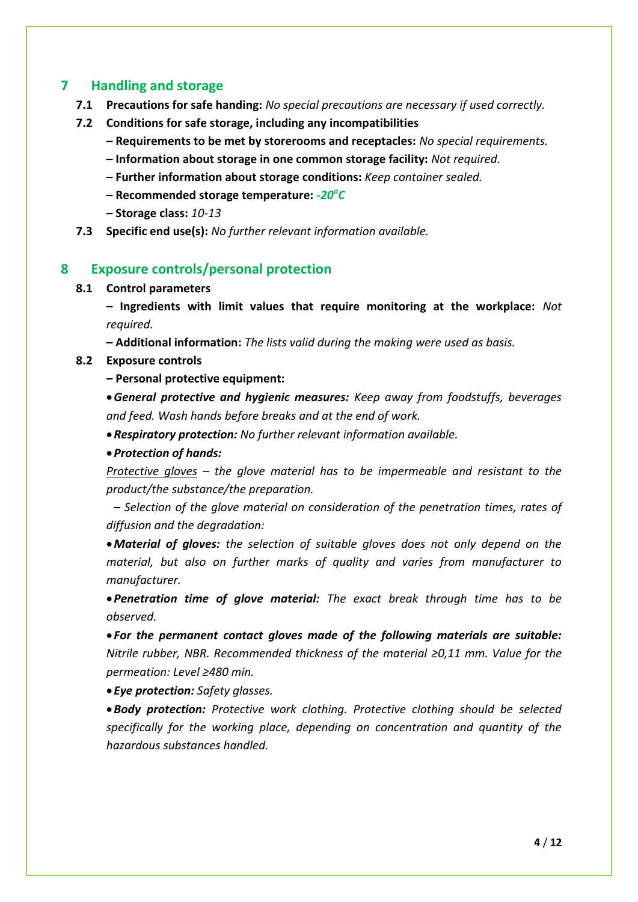## **7 Handling and storage**

- **7.1 Precautions for safe handing:** *No special precautions are necessary if used correctly.*
- **7.2 Conditions for safe storage, including any incompatibilities**
	- **– Requirements to be met by storerooms and receptacles:** *No special requirements.*
	- *–* **Information about storage in one common storage facility:** *Not required.*
	- **– Further information about storage conditions:** *Keep container sealed.*
	- **– Recommended storage temperature:** *-20<sup>o</sup> C*
	- **– Storage class:** *10-13*
- **7.3 Specific end use(s):** *No further relevant information available.*

## **8 Exposure controls/personal protection**

#### **8.1 Control parameters**

**– Ingredients with limit values that require monitoring at the workplace:** *Not required.*

**– Additional information:** *The lists valid during the making were used as basis.*

### **8.2 Exposure controls**

**– Personal protective equipment:**

*General protective and hygienic measures: Keep away from foodstuffs, beverages and feed. Wash hands before breaks and at the end of work.*

*Respiratory protection: No further relevant information available.*

*Protection of hands:* 

*Protective gloves – the glove material has to be impermeable and resistant to the product/the substance/the preparation.*

*– Selection of the glove material on consideration of the penetration times, rates of diffusion and the degradation:*

*Material of gloves: the selection of suitable gloves does not only depend on the material, but also on further marks of quality and varies from manufacturer to manufacturer.*

*Penetration time of glove material: The exact break through time has to be observed.*

 *For the permanent contact gloves made of the following materials are suitable: Nitrile rubber, NBR. Recommended thickness of the material ≥0,11 mm. Value for the permeation: Level ≥480 min.*

*Eye protection: Safety glasses.*

*Body protection: Protective work clothing. Protective clothing should be selected specifically for the working place, depending on concentration and quantity of the hazardous substances handled.*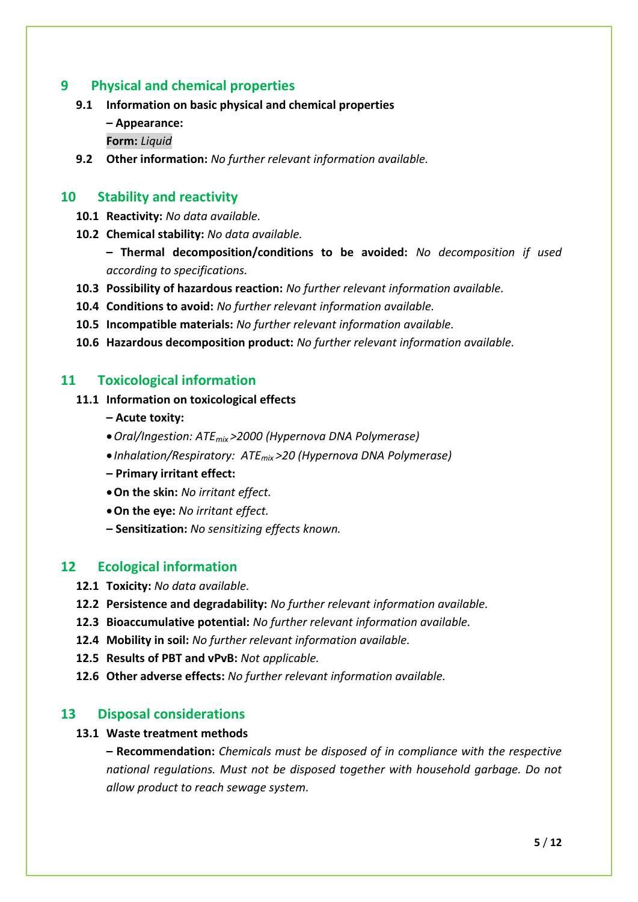## **9 Physical and chemical properties**

- **9.1 Information on basic physical and chemical properties**
	- **– Appearance:**
	- **Form:** *Liquid*
- **9.2 Other information:** *No further relevant information available.*

#### **10 Stability and reactivity**

- **10.1 Reactivity:** *No data available.*
- **10.2 Chemical stability:** *No data available.*

**– Thermal decomposition/conditions to be avoided:** *No decomposition if used according to specifications.*

- **10.3 Possibility of hazardous reaction:** *No further relevant information available.*
- **10.4 Conditions to avoid:** *No further relevant information available.*
- **10.5 Incompatible materials:** *No further relevant information available.*
- **10.6 Hazardous decomposition product:** *No further relevant information available.*

#### **11 Toxicological information**

## **11.1 Information on toxicological effects**

- **– Acute toxity:**
- *Oral/Ingestion: ATEmix >2000 (Hypernova DNA Polymerase)*
- *Inhalation/Respiratory: ATEmix >20 (Hypernova DNA Polymerase)*
- **– Primary irritant effect:**
- **On the skin:** *No irritant effect.*
- **On the eye:** *No irritant effect.*
- **– Sensitization:** *No sensitizing effects known.*

#### **12 Ecological information**

- **12.1 Toxicity:** *No data available.*
- **12.2 Persistence and degradability:** *No further relevant information available.*
- **12.3 Bioaccumulative potential:** *No further relevant information available.*
- **12.4 Mobility in soil:** *No further relevant information available.*
- **12.5 Results of PBT and vPvB:** *Not applicable.*
- **12.6 Other adverse effects:** *No further relevant information available.*

### **13 Disposal considerations**

#### **13.1 Waste treatment methods**

**– Recommendation:** *Chemicals must be disposed of in compliance with the respective national regulations. Must not be disposed together with household garbage. Do not allow product to reach sewage system.*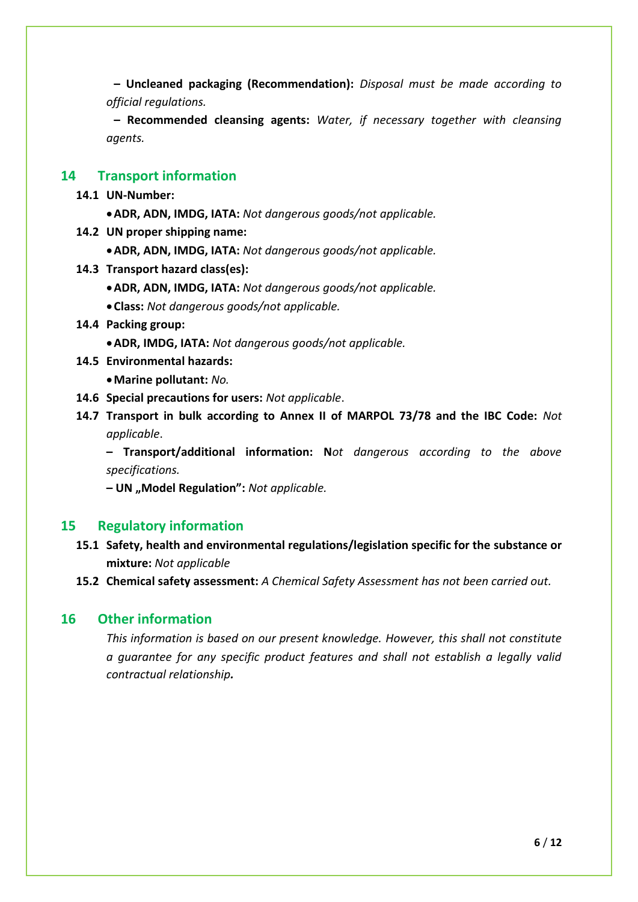**– Uncleaned packaging (Recommendation):** *Disposal must be made according to official regulations.* 

**– Recommended cleansing agents:** *Water, if necessary together with cleansing agents.*

#### **14 Transport information**

- **14.1 UN-Number:**
	- **ADR, ADN, IMDG, IATA:** *Not dangerous goods/not applicable.*
- **14.2 UN proper shipping name:**
	- **ADR, ADN, IMDG, IATA:** *Not dangerous goods/not applicable.*
- **14.3 Transport hazard class(es):**
	- **ADR, ADN, IMDG, IATA:** *Not dangerous goods/not applicable.*
	- **Class:** *Not dangerous goods/not applicable.*
- **14.4 Packing group:**
	- **ADR, IMDG, IATA:** *Not dangerous goods/not applicable.*
- **14.5 Environmental hazards:**
	- **Marine pollutant:** *No.*
- **14.6 Special precautions for users:** *Not applicable*.
- **14.7 Transport in bulk according to Annex II of MARPOL 73/78 and the IBC Code:** *Not applicable*.

**– Transport/additional information: N***ot dangerous according to the above specifications.*

**– UN "Model Regulation":** *Not applicable.*

#### **15 Regulatory information**

- **15.1 Safety, health and environmental regulations/legislation specific for the substance or mixture:** *Not applicable*
- **15.2 Chemical safety assessment:** *A Chemical Safety Assessment has not been carried out.*

#### **16 Other information**

*This information is based on our present knowledge. However, this shall not constitute a guarantee for any specific product features and shall not establish a legally valid contractual relationship.*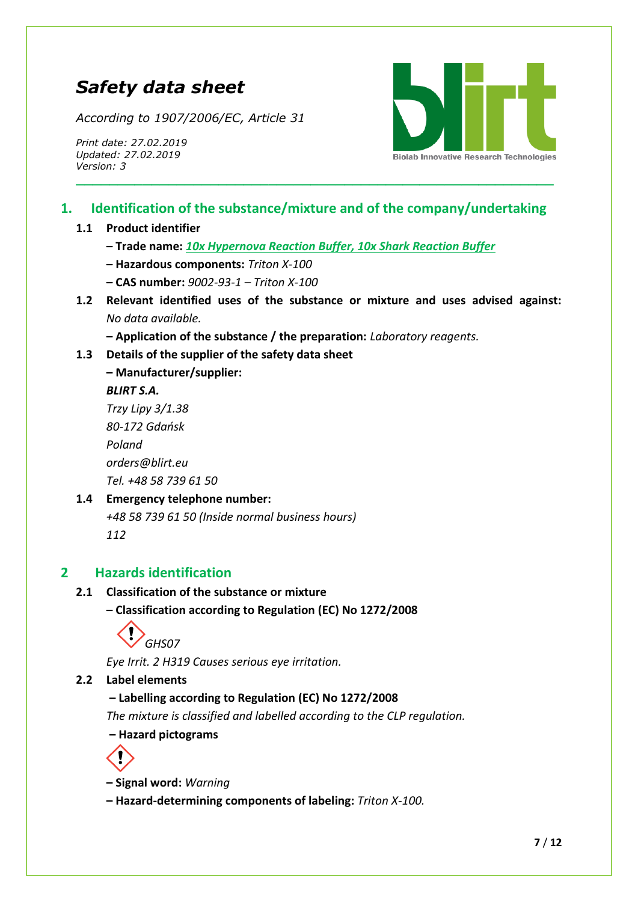# *Safety data sheet*

*According to 1907/2006/EC, Article 31*

*Print date: 27.02.2019 Updated: 27.02.2019 Version: 3*



## **1. Identification of the substance/mixture and of the company/undertaking**

**\_\_\_\_\_\_\_\_\_\_\_\_\_\_\_\_\_\_\_\_\_\_\_\_\_\_\_\_\_\_\_\_\_\_\_\_\_\_\_\_\_\_\_\_\_\_\_\_\_\_\_\_\_\_\_\_\_**

### **1.1 Product identifier**

- **– Trade name:** *10x Hypernova Reaction Buffer, 10x Shark Reaction Buffer*
- **– Hazardous components:** *Triton X-100*
- **– CAS number:** *9002-93-1 – Triton X-100*
- **1.2 Relevant identified uses of the substance or mixture and uses advised against:**  *No data available.*

**– Application of the substance / the preparation:** *Laboratory reagents.*

- **1.3 Details of the supplier of the safety data sheet**
	- **– Manufacturer/supplier:**

#### *BLIRT S.A.*

*Trzy Lipy 3/1.38 80-172 Gdańsk Poland [orders@blirt.eu](mailto:orders@blirt.eu) Tel. +48 58 739 61 50*

### **1.4 Emergency telephone number:**

*+48 58 739 61 50 (Inside normal business hours) 112*

## **2 Hazards identification**

#### **2.1 Classification of the substance or mixture**

**– Classification according to Regulation (EC) No 1272/2008**



*Eye Irrit. 2 H319 Causes serious eye irritation.*

#### **2.2 Label elements**

### **– Labelling according to Regulation (EC) No 1272/2008**

*The mixture is classified and labelled according to the CLP regulation.*

**– Hazard pictograms**



**– Signal word:** *Warning*

**– Hazard-determining components of labeling:** *Triton X-100.*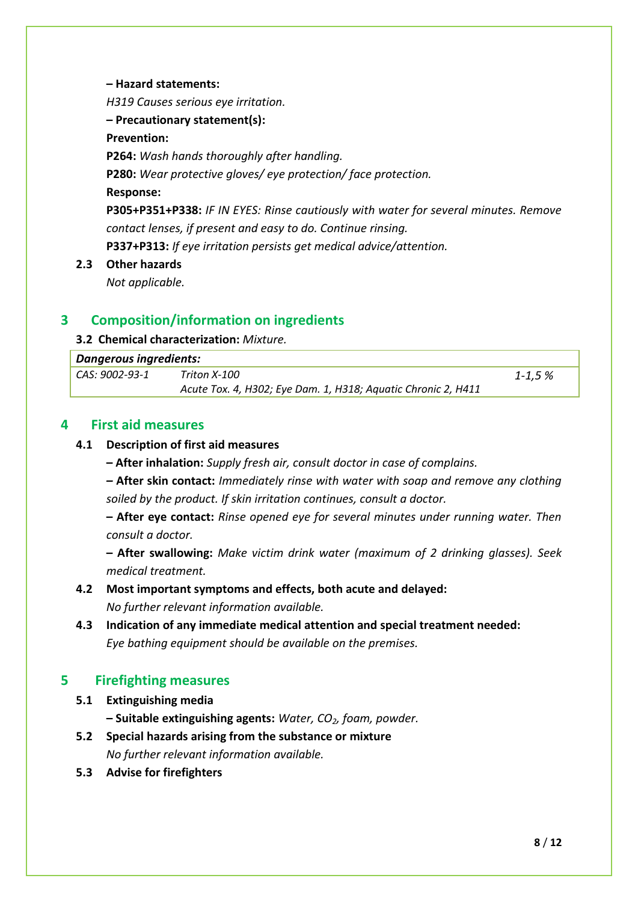**– Hazard statements:**

*H319 Causes serious eye irritation.*

**– Precautionary statement(s):**

**Prevention:**

**P264:** *Wash hands thoroughly after handling.*

**P280:** *Wear protective gloves/ eye protection/ face protection.*

**Response:**

**P305+P351+P338:** *IF IN EYES: Rinse cautiously with water for several minutes. Remove contact lenses, if present and easy to do. Continue rinsing.* **P337+P313:** *If eye irritation persists get medical advice/attention.*

**2.3 Other hazards**

*Not applicable.*

## **3 Composition/information on ingredients**

#### **3.2 Chemical characterization:** *Mixture.*

| Dangerous ingredients: |                                                               |         |
|------------------------|---------------------------------------------------------------|---------|
| CAS: 9002-93-1         | Triton X-100                                                  | 1-1,5 % |
|                        | Acute Tox. 4, H302; Eye Dam. 1, H318; Aquatic Chronic 2, H411 |         |

## **4 First aid measures**

#### **4.1 Description of first aid measures**

**– After inhalation:** *Supply fresh air, consult doctor in case of complains.*

*–* **After skin contact:** *Immediately rinse with water with soap and remove any clothing soiled by the product. If skin irritation continues, consult a doctor.*

**– After eye contact:** *Rinse opened eye for several minutes under running water. Then consult a doctor.*

**– After swallowing:** *Make victim drink water (maximum of 2 drinking glasses). Seek medical treatment.*

## **4.2 Most important symptoms and effects, both acute and delayed:**  *No further relevant information available.*

**4.3 Indication of any immediate medical attention and special treatment needed:**  *Eye bathing equipment should be available on the premises.*

## **5 Firefighting measures**

- **5.1 Extinguishing media**
	- **– Suitable extinguishing agents:** *Water, CO2, foam, powder.*
- **5.2 Special hazards arising from the substance or mixture** *No further relevant information available.*
- **5.3 Advise for firefighters**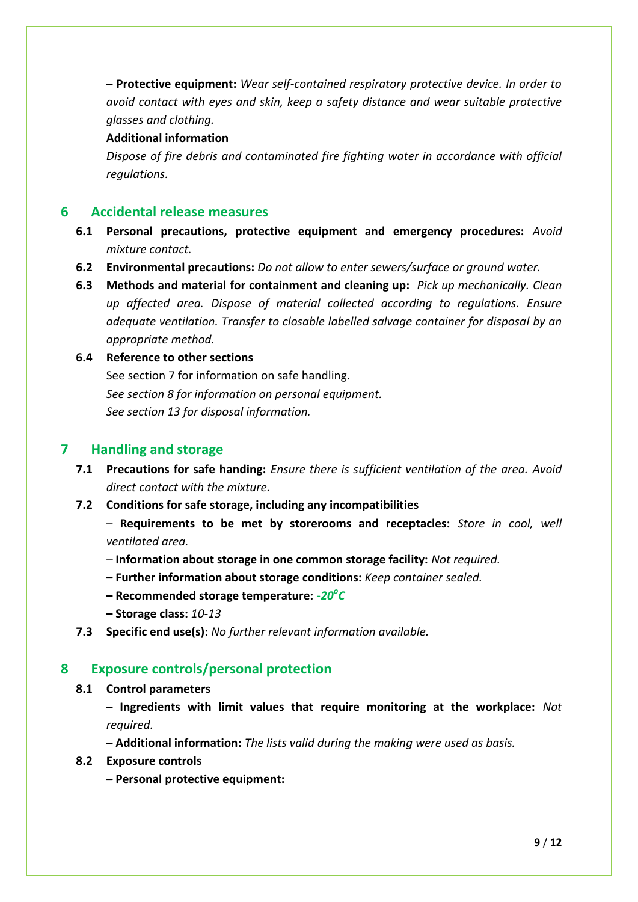**– Protective equipment:** *Wear self-contained respiratory protective device. In order to avoid contact with eyes and skin, keep a safety distance and wear suitable protective glasses and clothing.*

#### **Additional information**

*Dispose of fire debris and contaminated fire fighting water in accordance with official regulations.*

### **6 Accidental release measures**

- **6.1 Personal precautions, protective equipment and emergency procedures:** *Avoid mixture contact.*
- **6.2 Environmental precautions:** *Do not allow to enter sewers/surface or ground water.*
- **6.3 Methods and material for containment and cleaning up:** *Pick up mechanically. Clean up affected area. Dispose of material collected according to regulations. Ensure adequate ventilation. Transfer to closable labelled salvage container for disposal by an appropriate method.*

#### **6.4 Reference to other sections**

See section 7 for information on safe handling. *See section 8 for information on personal equipment. See section 13 for disposal information.*

## **7 Handling and storage**

- **7.1 Precautions for safe handing:** *Ensure there is sufficient ventilation of the area. Avoid direct contact with the mixture.*
- **7.2 Conditions for safe storage, including any incompatibilities**
	- **Requirements to be met by storerooms and receptacles:** *Store in cool, well ventilated area.*
	- *–* **Information about storage in one common storage facility:** *Not required.*
	- **– Further information about storage conditions:** *Keep container sealed.*
	- **– Recommended storage temperature:** *-20<sup>o</sup> C*
	- **– Storage class:** *10-13*
- **7.3 Specific end use(s):** *No further relevant information available.*

### **8 Exposure controls/personal protection**

#### **8.1 Control parameters**

**– Ingredients with limit values that require monitoring at the workplace:** *Not required.*

**– Additional information:** *The lists valid during the making were used as basis.*

#### **8.2 Exposure controls**

**– Personal protective equipment:**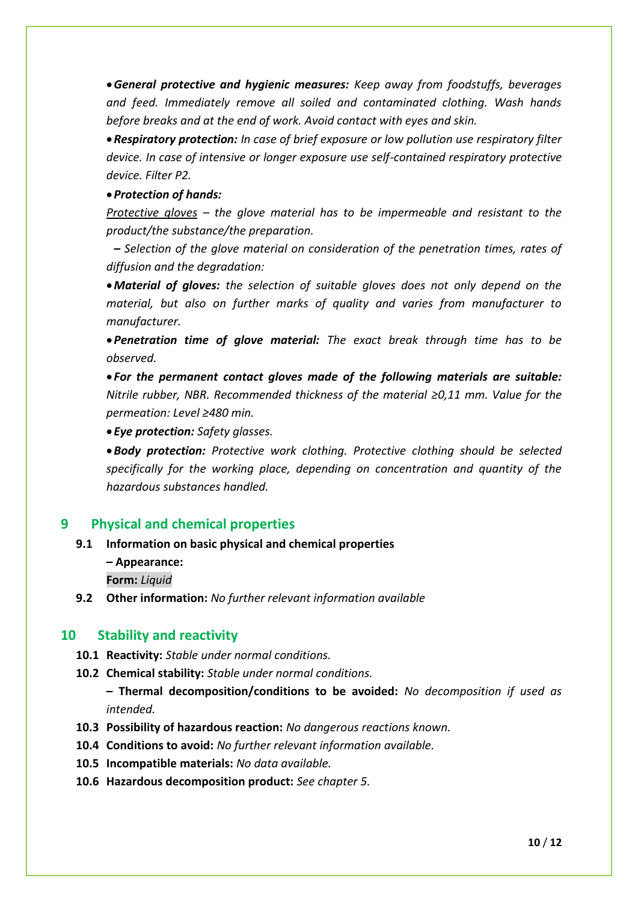*General protective and hygienic measures: Keep away from foodstuffs, beverages and feed. Immediately remove all soiled and contaminated clothing. Wash hands before breaks and at the end of work. Avoid contact with eyes and skin.* 

*Respiratory protection: In case of brief exposure or low pollution use respiratory filter device. In case of intensive or longer exposure use self-contained respiratory protective device. Filter P2.*

#### *Protection of hands:*

*Protective gloves – the glove material has to be impermeable and resistant to the product/the substance/the preparation.*

*– Selection of the glove material on consideration of the penetration times, rates of diffusion and the degradation:*

*Material of gloves: the selection of suitable gloves does not only depend on the material, but also on further marks of quality and varies from manufacturer to manufacturer.*

*Penetration time of glove material: The exact break through time has to be observed.*

 *For the permanent contact gloves made of the following materials are suitable: Nitrile rubber, NBR. Recommended thickness of the material ≥0,11 mm. Value for the permeation: Level ≥480 min.*

*Eye protection: Safety glasses.*

*Body protection: Protective work clothing. Protective clothing should be selected specifically for the working place, depending on concentration and quantity of the hazardous substances handled.*

## **9 Physical and chemical properties**

**9.1 Information on basic physical and chemical properties**

**– Appearance:** 

**Form:** *Liquid* 

**9.2 Other information:** *No further relevant information available*

### **10 Stability and reactivity**

- **10.1 Reactivity:** *Stable under normal conditions.*
- **10.2 Chemical stability:** *Stable under normal conditions.*

**– Thermal decomposition/conditions to be avoided:** *No decomposition if used as intended.*

- **10.3 Possibility of hazardous reaction:** *No dangerous reactions known.*
- **10.4 Conditions to avoid:** *No further relevant information available.*
- **10.5 Incompatible materials:** *No data available.*
- **10.6 Hazardous decomposition product:** *See chapter 5.*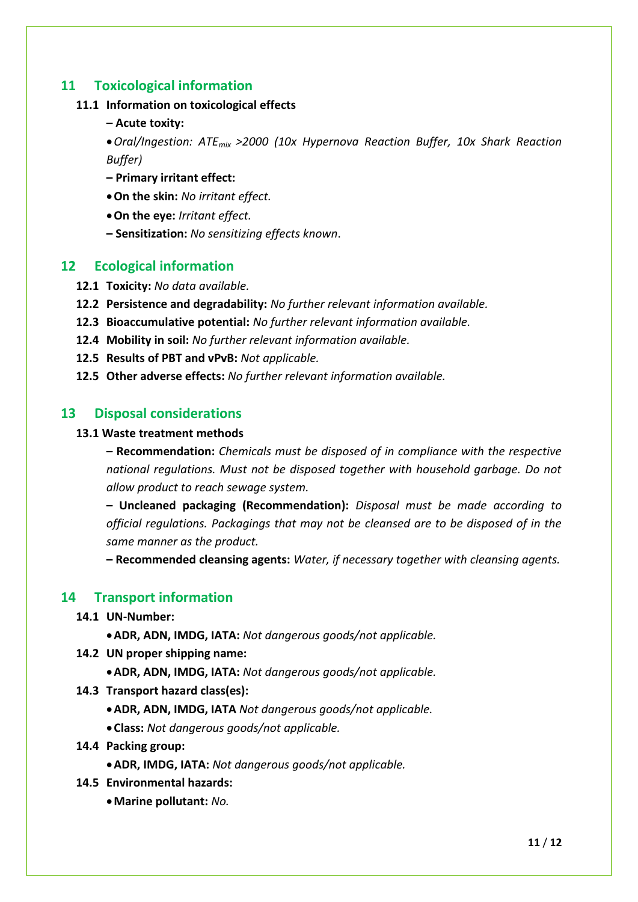## **11 Toxicological information**

#### **11.1 Information on toxicological effects**

**– Acute toxity:**

*Oral/Ingestion: ATEmix >2000 (10x Hypernova Reaction Buffer, 10x Shark Reaction Buffer)*

- **– Primary irritant effect:**
- **On the skin:** *No irritant effect.*
- **On the eye:** *Irritant effect.*
- **– Sensitization:** *No sensitizing effects known*.

#### **12 Ecological information**

- **12.1 Toxicity:** *No data available.*
- **12.2 Persistence and degradability:** *No further relevant information available.*
- **12.3 Bioaccumulative potential:** *No further relevant information available.*
- **12.4 Mobility in soil:** *No further relevant information available.*
- **12.5 Results of PBT and vPvB:** *Not applicable.*
- **12.5 Other adverse effects:** *No further relevant information available.*

#### **13 Disposal considerations**

#### **13.1 Waste treatment methods**

**– Recommendation:** *Chemicals must be disposed of in compliance with the respective national regulations. Must not be disposed together with household garbage. Do not allow product to reach sewage system.* 

**– Uncleaned packaging (Recommendation):** *Disposal must be made according to official regulations. Packagings that may not be cleansed are to be disposed of in the same manner as the product.* 

**– Recommended cleansing agents:** *Water, if necessary together with cleansing agents.*

#### **14 Transport information**

#### **14.1 UN-Number:**

**ADR, ADN, IMDG, IATA:** *Not dangerous goods/not applicable.*

- **14.2 UN proper shipping name:**
	- **ADR, ADN, IMDG, IATA:** *Not dangerous goods/not applicable.*
- **14.3 Transport hazard class(es):**
	- **ADR, ADN, IMDG, IATA** *Not dangerous goods/not applicable.*
	- **Class:** *Not dangerous goods/not applicable.*
- **14.4 Packing group:**
	- **ADR, IMDG, IATA:** *Not dangerous goods/not applicable.*
- **14.5 Environmental hazards:**
	- **Marine pollutant:** *No.*